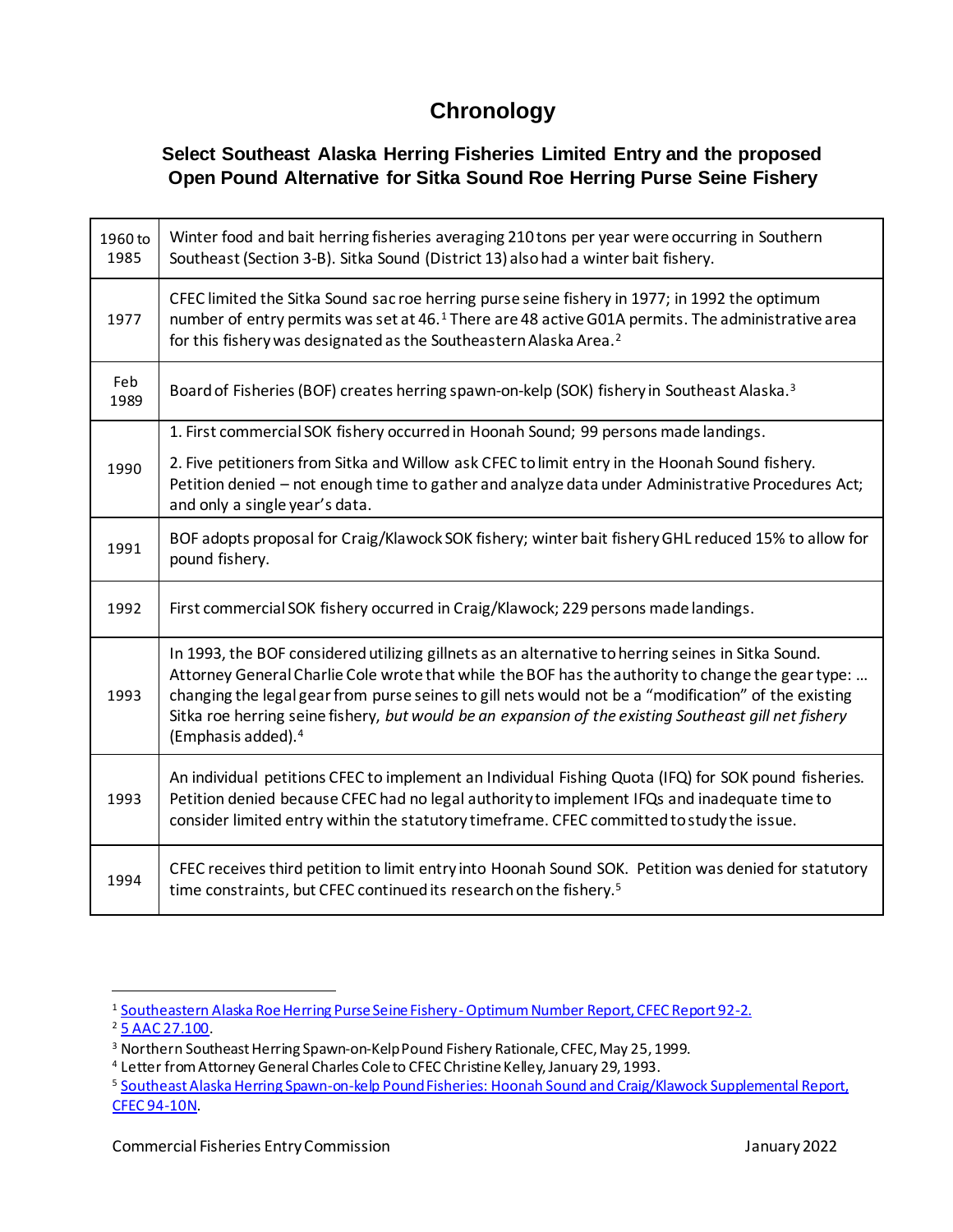## <span id="page-0-0"></span>**Chronology**

## **Select Southeast Alaska Herring Fisheries Limited Entry and the proposed Open Pound Alternative for Sitka Sound Roe Herring Purse Seine Fishery**

| 1960 to<br>1985 | Winter food and bait herring fisheries averaging 210 tons per year were occurring in Southern<br>Southeast (Section 3-B). Sitka Sound (District 13) also had a winter bait fishery.                                                                                                                                                                                                                                                                        |
|-----------------|------------------------------------------------------------------------------------------------------------------------------------------------------------------------------------------------------------------------------------------------------------------------------------------------------------------------------------------------------------------------------------------------------------------------------------------------------------|
| 1977            | CFEC limited the Sitka Sound sac roe herring purse seine fishery in 1977; in 1992 the optimum<br>number of entry permits was set at 46. <sup>1</sup> There are 48 active G01A permits. The administrative area<br>for this fishery was designated as the Southeastern Alaska Area. <sup>2</sup>                                                                                                                                                            |
| Feb<br>1989     | Board of Fisheries (BOF) creates herring spawn-on-kelp (SOK) fishery in Southeast Alaska. <sup>3</sup>                                                                                                                                                                                                                                                                                                                                                     |
|                 | 1. First commercial SOK fishery occurred in Hoonah Sound; 99 persons made landings.                                                                                                                                                                                                                                                                                                                                                                        |
| 1990            | 2. Five petitioners from Sitka and Willow ask CFEC to limit entry in the Hoonah Sound fishery.<br>Petition denied - not enough time to gather and analyze data under Administrative Procedures Act;<br>and only a single year's data.                                                                                                                                                                                                                      |
| 1991            | BOF adopts proposal for Craig/Klawock SOK fishery; winter bait fishery GHL reduced 15% to allow for<br>pound fishery.                                                                                                                                                                                                                                                                                                                                      |
| 1992            | First commercial SOK fishery occurred in Craig/Klawock; 229 persons made landings.                                                                                                                                                                                                                                                                                                                                                                         |
| 1993            | In 1993, the BOF considered utilizing gillnets as an alternative to herring seines in Sitka Sound.<br>Attorney General Charlie Cole wrote that while the BOF has the authority to change the gear type:<br>changing the legal gear from purse seines to gill nets would not be a "modification" of the existing<br>Sitka roe herring seine fishery, but would be an expansion of the existing Southeast gill net fishery<br>(Emphasis added). <sup>4</sup> |
| 1993            | An individual petitions CFEC to implement an Individual Fishing Quota (IFQ) for SOK pound fisheries.<br>Petition denied because CFEC had no legal authority to implement IFQs and inadequate time to<br>consider limited entry within the statutory timeframe. CFEC committed to study the issue.                                                                                                                                                          |
| 1994            | CFEC receives third petition to limit entry into Hoonah Sound SOK. Petition was denied for statutory<br>time constraints, but CFEC continued its research on the fishery. <sup>5</sup>                                                                                                                                                                                                                                                                     |

<sup>&</sup>lt;sup>1</sup> Southeastern Alaska Roe Herring Purse Seine Fishery - Optimum Number Report, CFEC Report 92-2.

<sup>&</sup>lt;sup>2</sup> 5 AAC [27.100.](http://www.akleg.gov/basis/aac.asp#5.27.100)

<sup>&</sup>lt;sup>3</sup> Northern Southeast Herring Spawn-on-Kelp Pound Fishery Rationale, CFEC, May 25, 1999.

<sup>&</sup>lt;sup>4</sup> Letter from Attorney General Charles Cole to CFEC Christine Kelley, January 29, 1993.

<sup>&</sup>lt;sup>5</sup> Southeast Alaska Herring Spawn-on-kelp Pound Fisheries: Hoonah Sound and Craig/Klawock Supplemental Report, CFEC [94-10N.](https://www.cfec.state.ak.us/RESEARCH/rptlist/R9410.HTM)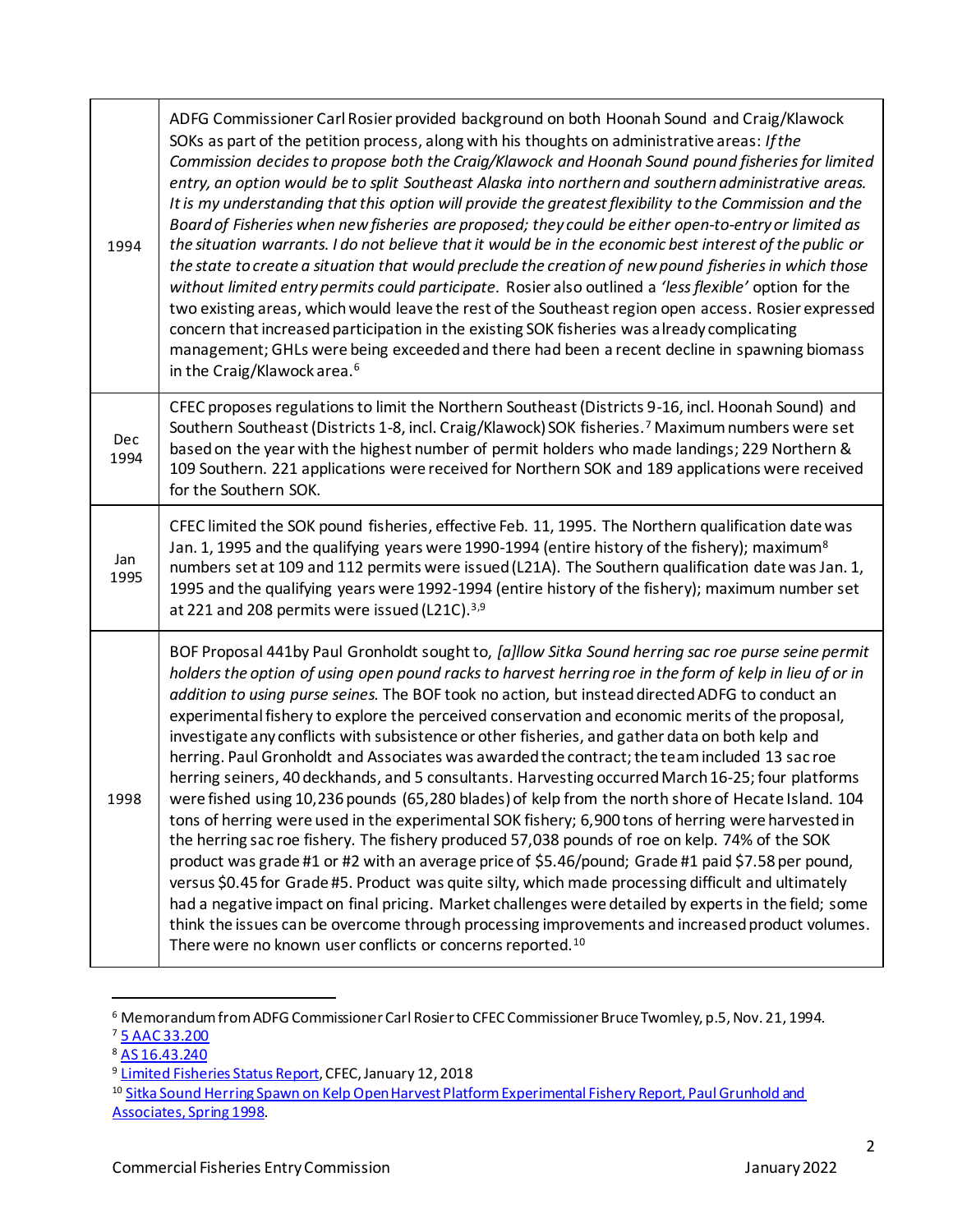| 1994        | ADFG Commissioner Carl Rosier provided background on both Hoonah Sound and Craig/Klawock<br>SOKs as part of the petition process, along with his thoughts on administrative areas: If the<br>Commission decides to propose both the Craig/Klawock and Hoonah Sound pound fisheries for limited<br>entry, an option would be to split Southeast Alaska into northern and southern administrative areas.<br>It is my understanding that this option will provide the greatest flexibility to the Commission and the<br>Board of Fisheries when new fisheries are proposed; they could be either open-to-entry or limited as<br>the situation warrants. I do not believe that it would be in the economic best interest of the public or<br>the state to create a situation that would preclude the creation of new pound fisheries in which those<br>without limited entry permits could participate. Rosier also outlined a 'less flexible' option for the<br>two existing areas, which would leave the rest of the Southeast region open access. Rosier expressed<br>concern that increased participation in the existing SOK fisheries was already complicating<br>management; GHLs were being exceeded and there had been a recent decline in spawning biomass<br>in the Craig/Klawock area. <sup>6</sup>                                                                                                                                                                                                                                    |
|-------------|------------------------------------------------------------------------------------------------------------------------------------------------------------------------------------------------------------------------------------------------------------------------------------------------------------------------------------------------------------------------------------------------------------------------------------------------------------------------------------------------------------------------------------------------------------------------------------------------------------------------------------------------------------------------------------------------------------------------------------------------------------------------------------------------------------------------------------------------------------------------------------------------------------------------------------------------------------------------------------------------------------------------------------------------------------------------------------------------------------------------------------------------------------------------------------------------------------------------------------------------------------------------------------------------------------------------------------------------------------------------------------------------------------------------------------------------------------------------------------------------------------------------------------------------|
| Dec<br>1994 | CFEC proposes regulations to limit the Northern Southeast (Districts 9-16, incl. Hoonah Sound) and<br>Southern Southeast (Districts 1-8, incl. Craig/Klawock) SOK fisheries. <sup>7</sup> Maximum numbers were set<br>based on the year with the highest number of permit holders who made landings; 229 Northern &<br>109 Southern. 221 applications were received for Northern SOK and 189 applications were received<br>for the Southern SOK.                                                                                                                                                                                                                                                                                                                                                                                                                                                                                                                                                                                                                                                                                                                                                                                                                                                                                                                                                                                                                                                                                               |
| Jan<br>1995 | CFEC limited the SOK pound fisheries, effective Feb. 11, 1995. The Northern qualification date was<br>Jan. 1, 1995 and the qualifying years were 1990-1994 (entire history of the fishery); maximum <sup>8</sup><br>numbers set at 109 and 112 permits were issued (L21A). The Southern qualification date was Jan. 1,<br>1995 and the qualifying years were 1992-1994 (entire history of the fishery); maximum number set<br>at 221 and 208 permits were issued (L21C). <sup>3,9</sup>                                                                                                                                                                                                                                                                                                                                                                                                                                                                                                                                                                                                                                                                                                                                                                                                                                                                                                                                                                                                                                                        |
| 1998        | BOF Proposal 441by Paul Gronholdt sought to, [a]llow Sitka Sound herring sac roe purse seine permit<br>holders the option of using open pound racks to harvest herring roe in the form of kelp in lieu of or in<br>addition to using purse seines. The BOF took no action, but instead directed ADFG to conduct an<br>experimental fishery to explore the perceived conservation and economic merits of the proposal,<br>investigate any conflicts with subsistence or other fisheries, and gather data on both kelp and<br>herring. Paul Gronholdt and Associates was awarded the contract; the team included 13 sac roe<br>herring seiners, 40 deckhands, and 5 consultants. Harvesting occurred March 16-25; four platforms<br>were fished using 10,236 pounds (65,280 blades) of kelp from the north shore of Hecate Island. 104<br>tons of herring were used in the experimental SOK fishery; 6,900 tons of herring were harvested in<br>the herring sac roe fishery. The fishery produced 57,038 pounds of roe on kelp. 74% of the SOK<br>product was grade #1 or #2 with an average price of \$5.46/pound; Grade #1 paid \$7.58 per pound,<br>versus \$0.45 for Grade #5. Product was quite silty, which made processing difficult and ultimately<br>had a negative impact on final pricing. Market challenges were detailed by experts in the field; some<br>think the issues can be overcome through processing improvements and increased product volumes.<br>There were no known user conflicts or concerns reported. <sup>10</sup> |

<sup>&</sup>lt;sup>6</sup> Memorandum from ADFG Commissioner Carl Rosier to CFEC Commissioner Bruce Twomley, p.5, Nov. 21, 1994.

<sup>7</sup> 5 AAC [33.200](http://www.akleg.gov/basis/aac.asp#5.33.200)

<sup>8</sup> AS [16.43.240](http://touchngo.com/lglcntr/akstats/Statutes/Title16/Chapter43/Section240.htm)

<sup>&</sup>lt;sup>9</sup> Limited [Fisheries](https://www.cfec.state.ak.us/astatus/B6410P_C.HTM) Status Report, CFEC, January 12, 2018

<sup>&</sup>lt;sup>10</sup> [Sitka Sound Herring Spawn on Kelp Open Harvest Platform Experimental Fishery Report, Paul Grunhold and](http://www.adfg.alaska.gov/static/regulations/regprocess/fisheriesboard/pdfs/2017-2018/state/misc/kapp/comments_2017-2018.pdf) [Associates,](http://www.adfg.alaska.gov/static/regulations/regprocess/fisheriesboard/pdfs/2017-2018/state/misc/kapp/comments_2017-2018.pdf) Spring 1998.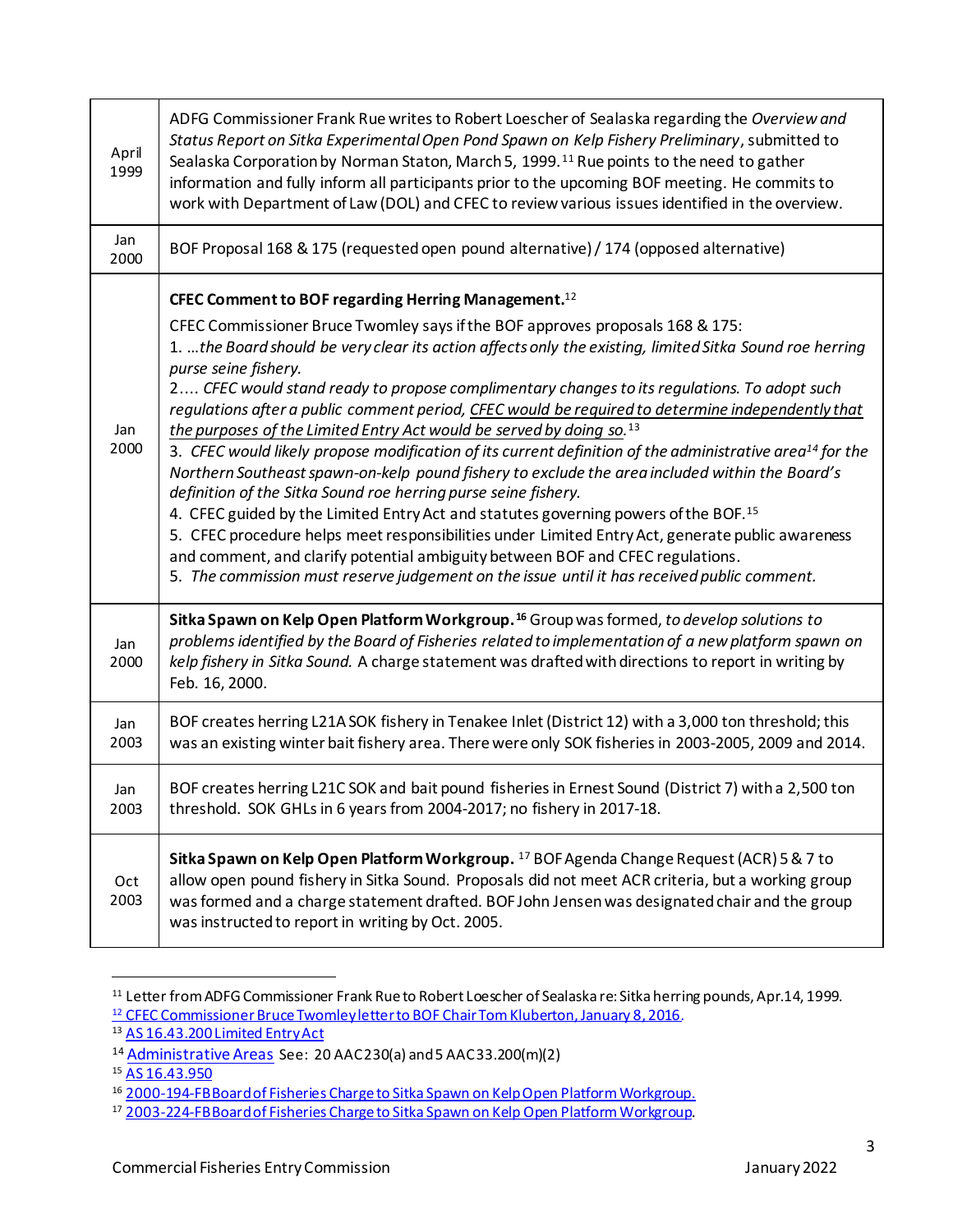| April<br>1999 | ADFG Commissioner Frank Rue writes to Robert Loescher of Sealaska regarding the Overview and<br>Status Report on Sitka Experimental Open Pond Spawn on Kelp Fishery Preliminary, submitted to<br>Sealaska Corporation by Norman Staton, March 5, 1999. <sup>11</sup> Rue points to the need to gather<br>information and fully inform all participants prior to the upcoming BOF meeting. He commits to<br>work with Department of Law (DOL) and CFEC to review various issues identified in the overview.                                                                                                                                                                                                                                                                                                                                                                |
|---------------|---------------------------------------------------------------------------------------------------------------------------------------------------------------------------------------------------------------------------------------------------------------------------------------------------------------------------------------------------------------------------------------------------------------------------------------------------------------------------------------------------------------------------------------------------------------------------------------------------------------------------------------------------------------------------------------------------------------------------------------------------------------------------------------------------------------------------------------------------------------------------|
| Jan<br>2000   | BOF Proposal 168 & 175 (requested open pound alternative) / 174 (opposed alternative)                                                                                                                                                                                                                                                                                                                                                                                                                                                                                                                                                                                                                                                                                                                                                                                     |
|               | CFEC Comment to BOF regarding Herring Management. <sup>12</sup><br>CFEC Commissioner Bruce Twomley says if the BOF approves proposals 168 & 175:<br>1. the Board should be very clear its action affects only the existing, limited Sitka Sound roe herring<br>purse seine fishery.<br>2 CFEC would stand ready to propose complimentary changes to its regulations. To adopt such                                                                                                                                                                                                                                                                                                                                                                                                                                                                                        |
| Jan<br>2000   | regulations after a public comment period, CFEC would be required to determine independently that<br>the purposes of the Limited Entry Act would be served by doing so. <sup>13</sup><br>3. CFEC would likely propose modification of its current definition of the administrative area <sup>14</sup> for the<br>Northern Southeast spawn-on-kelp pound fishery to exclude the area included within the Board's<br>definition of the Sitka Sound roe herring purse seine fishery.<br>4. CFEC guided by the Limited Entry Act and statutes governing powers of the BOF. <sup>15</sup><br>5. CFEC procedure helps meet responsibilities under Limited Entry Act, generate public awareness<br>and comment, and clarify potential ambiguity between BOF and CFEC regulations.<br>5. The commission must reserve judgement on the issue until it has received public comment. |
| Jan<br>2000   | Sitka Spawn on Kelp Open Platform Workgroup. <sup>16</sup> Group was formed, to develop solutions to<br>problems identified by the Board of Fisheries related to implementation of a new platform spawn on<br>kelp fishery in Sitka Sound. A charge statement was drafted with directions to report in writing by<br>Feb. 16, 2000.                                                                                                                                                                                                                                                                                                                                                                                                                                                                                                                                       |
| Jan<br>2003   | BOF creates herring L21A SOK fishery in Tenakee Inlet (District 12) with a 3,000 ton threshold; this<br>was an existing winter bait fishery area. There were only SOK fisheries in 2003-2005, 2009 and 2014.                                                                                                                                                                                                                                                                                                                                                                                                                                                                                                                                                                                                                                                              |
| Jan<br>2003   | BOF creates herring L21C SOK and bait pound fisheries in Ernest Sound (District 7) with a 2,500 ton<br>threshold. SOK GHLs in 6 years from 2004-2017; no fishery in 2017-18.                                                                                                                                                                                                                                                                                                                                                                                                                                                                                                                                                                                                                                                                                              |
| Oct<br>2003   | Sitka Spawn on Kelp Open Platform Workgroup. <sup>17</sup> BOF Agenda Change Request (ACR) 5 & 7 to<br>allow open pound fishery in Sitka Sound. Proposals did not meet ACR criteria, but a working group<br>was formed and a charge statement drafted. BOF John Jensen was designated chair and the group<br>was instructed to report in writing by Oct. 2005.                                                                                                                                                                                                                                                                                                                                                                                                                                                                                                            |

<sup>&</sup>lt;sup>11</sup> Letter from ADFG Commissioner Frank Rue to Robert Loescher of Sealaska re: Sitka herring pounds, Apr.14, 1999. <sup>12</sup> CFEC Commissioner Bruce Twomley letter to BOF Chair Tom Kluberton, January 8, 2016.

<sup>13</sup> AS 16.43.200 Limited Entry Act

<sup>14</sup> [Administrative](http://www.akleg.gov/basis/aac.asp#20.05.230) Areas See: 20 AAC230(a) and5 AAC33.200(m)(2)

<sup>15</sup> AS [16.43.950](http://www.akleg.gov/basis/statutes.asp#16.43.950)

<sup>16 2000-194-</sup>FB Board of Fisheries Charge to Sitka Spawn on Kelp Open Platform Workgroup.

<sup>&</sup>lt;sup>17</sup> 2003-224-FB Board of Fisheries Charge to Sitka Spawn on Kelp Open Platform Workgroup.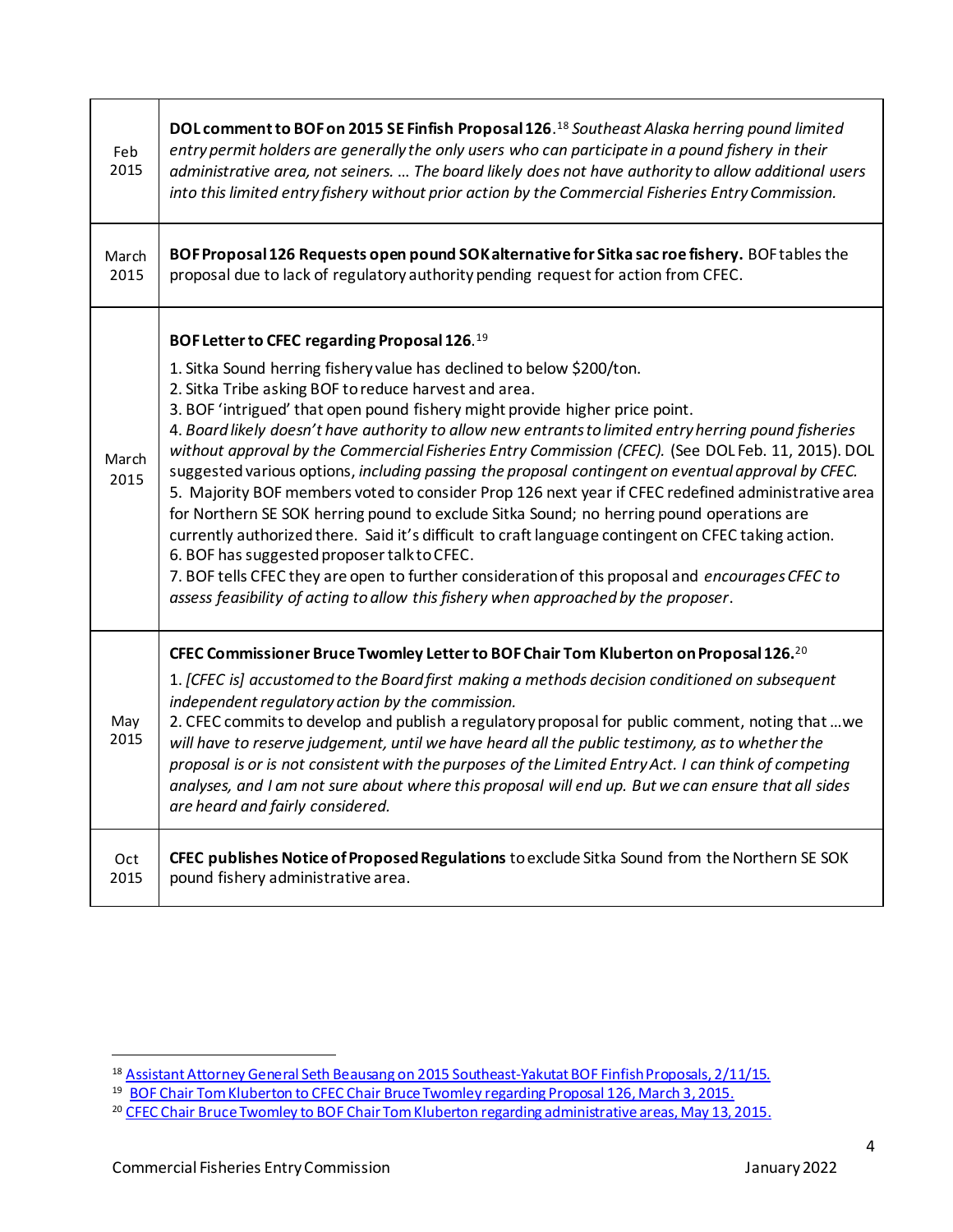| Feb<br>2015   | DOL comment to BOF on 2015 SE Finfish Proposal 126. <sup>18</sup> Southeast Alaska herring pound limited<br>entry permit holders are generally the only users who can participate in a pound fishery in their<br>administrative area, not seiners.  The board likely does not have authority to allow additional users<br>into this limited entry fishery without prior action by the Commercial Fisheries Entry Commission.                                                                                                                                                                                                                                                                                                                                                                                                                                                                                                                                                                                                                                                                                                            |
|---------------|-----------------------------------------------------------------------------------------------------------------------------------------------------------------------------------------------------------------------------------------------------------------------------------------------------------------------------------------------------------------------------------------------------------------------------------------------------------------------------------------------------------------------------------------------------------------------------------------------------------------------------------------------------------------------------------------------------------------------------------------------------------------------------------------------------------------------------------------------------------------------------------------------------------------------------------------------------------------------------------------------------------------------------------------------------------------------------------------------------------------------------------------|
| March<br>2015 | BOF Proposal 126 Requests open pound SOK alternative for Sitka sac roe fishery. BOF tables the<br>proposal due to lack of regulatory authority pending request for action from CFEC.                                                                                                                                                                                                                                                                                                                                                                                                                                                                                                                                                                                                                                                                                                                                                                                                                                                                                                                                                    |
| March<br>2015 | BOF Letter to CFEC regarding Proposal 126.19<br>1. Sitka Sound herring fishery value has declined to below \$200/ton.<br>2. Sitka Tribe asking BOF to reduce harvest and area.<br>3. BOF 'intrigued' that open pound fishery might provide higher price point.<br>4. Board likely doesn't have authority to allow new entrants to limited entry herring pound fisheries<br>without approval by the Commercial Fisheries Entry Commission (CFEC). (See DOL Feb. 11, 2015). DOL<br>suggested various options, including passing the proposal contingent on eventual approval by CFEC.<br>5. Majority BOF members voted to consider Prop 126 next year if CFEC redefined administrative area<br>for Northern SE SOK herring pound to exclude Sitka Sound; no herring pound operations are<br>currently authorized there. Said it's difficult to craft language contingent on CFEC taking action.<br>6. BOF has suggested proposer talk to CFEC.<br>7. BOF tells CFEC they are open to further consideration of this proposal and encourages CFEC to<br>assess feasibility of acting to allow this fishery when approached by the proposer. |
| May<br>2015   | CFEC Commissioner Bruce Twomley Letter to BOF Chair Tom Kluberton on Proposal 126. <sup>20</sup><br>1. [CFEC is] accustomed to the Board first making a methods decision conditioned on subsequent<br>independent regulatory action by the commission.<br>2. CFEC commits to develop and publish a regulatory proposal for public comment, noting that  we<br>will have to reserve judgement, until we have heard all the public testimony, as to whether the<br>proposal is or is not consistent with the purposes of the Limited Entry Act. I can think of competing<br>analyses, and I am not sure about where this proposal will end up. But we can ensure that all sides<br>are heard and fairly considered.                                                                                                                                                                                                                                                                                                                                                                                                                       |
| Oct<br>2015   | CFEC publishes Notice of Proposed Regulations to exclude Sitka Sound from the Northern SE SOK<br>pound fishery administrative area.                                                                                                                                                                                                                                                                                                                                                                                                                                                                                                                                                                                                                                                                                                                                                                                                                                                                                                                                                                                                     |

<sup>&</sup>lt;sup>18</sup> <u>Assistant Attorney General Seth Beausang on 2015 Southeast-Yakutat BOF Finfish Proposals, 2/11/15.</u>

<sup>&</sup>lt;sup>19</sup> BOF Chair Tom Kluberton to CFEC Chair Bruce Twomley regarding Proposal 126, March 3, 2015.

<sup>&</sup>lt;sup>20</sup> <u>CFEC Chair Bruce Twomley to BOF Chair Tom Kluberton regarding administrative areas, May 13, 2015.</u>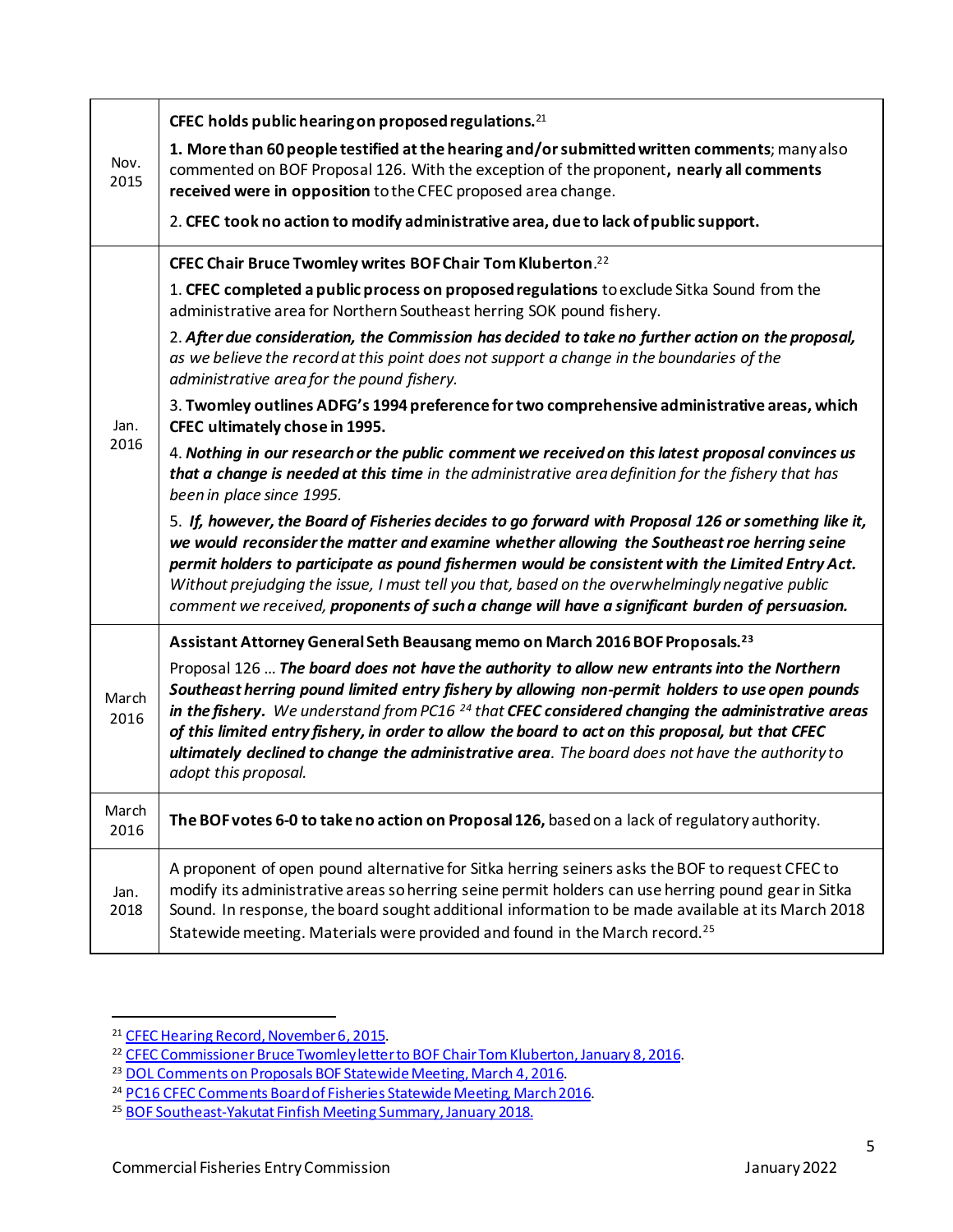| Nov.<br>2015  | CFEC holds public hearing on proposed regulations. $21$<br>1. More than 60 people testified at the hearing and/or submitted written comments; many also<br>commented on BOF Proposal 126. With the exception of the proponent, nearly all comments<br>received were in opposition to the CFEC proposed area change.<br>2. CFEC took no action to modify administrative area, due to lack of public support.                                                                                                                                    |
|---------------|------------------------------------------------------------------------------------------------------------------------------------------------------------------------------------------------------------------------------------------------------------------------------------------------------------------------------------------------------------------------------------------------------------------------------------------------------------------------------------------------------------------------------------------------|
|               | CFEC Chair Bruce Twomley writes BOF Chair Tom Kluberton. <sup>22</sup>                                                                                                                                                                                                                                                                                                                                                                                                                                                                         |
| Jan.<br>2016  | 1. CFEC completed a public process on proposed regulations to exclude Sitka Sound from the<br>administrative area for Northern Southeast herring SOK pound fishery.                                                                                                                                                                                                                                                                                                                                                                            |
|               | 2. After due consideration, the Commission has decided to take no further action on the proposal,<br>as we believe the record at this point does not support a change in the boundaries of the<br>administrative area for the pound fishery.                                                                                                                                                                                                                                                                                                   |
|               | 3. Twomley outlines ADFG's 1994 preference for two comprehensive administrative areas, which<br>CFEC ultimately chose in 1995.                                                                                                                                                                                                                                                                                                                                                                                                                 |
|               | 4. Nothing in our research or the public comment we received on this latest proposal convinces us<br>that a change is needed at this time in the administrative area definition for the fishery that has<br>been in place since 1995.                                                                                                                                                                                                                                                                                                          |
|               | 5. If, however, the Board of Fisheries decides to go forward with Proposal 126 or something like it,<br>we would reconsider the matter and examine whether allowing the Southeast roe herring seine<br>permit holders to participate as pound fishermen would be consistent with the Limited Entry Act.<br>Without prejudging the issue, I must tell you that, based on the overwhelmingly negative public<br>comment we received, proponents of such a change will have a significant burden of persuasion.                                   |
|               | Assistant Attorney General Seth Beausang memo on March 2016 BOF Proposals. <sup>23</sup>                                                                                                                                                                                                                                                                                                                                                                                                                                                       |
| March<br>2016 | Proposal 126  The board does not have the authority to allow new entrants into the Northern<br>Southeast herring pound limited entry fishery by allowing non-permit holders to use open pounds<br>in the fishery. We understand from PC16 <sup>24</sup> that CFEC considered changing the administrative areas<br>of this limited entry fishery, in order to allow the board to act on this proposal, but that CFEC<br>ultimately declined to change the administrative area. The board does not have the authority to<br>adopt this proposal. |
| March<br>2016 | The BOF votes 6-0 to take no action on Proposal 126, based on a lack of regulatory authority.                                                                                                                                                                                                                                                                                                                                                                                                                                                  |
| Jan.<br>2018  | A proponent of open pound alternative for Sitka herring seiners asks the BOF to request CFEC to<br>modify its administrative areas so herring seine permit holders can use herring pound gear in Sitka<br>Sound. In response, the board sought additional information to be made available at its March 2018<br>Statewide meeting. Materials were provided and found in the March record. <sup>25</sup>                                                                                                                                        |

<sup>&</sup>lt;sup>21</sup> CFEC Hearing Record, November 6, 2015.

<sup>&</sup>lt;sup>22</sup> CFEC Commissioner Bruce Twomley letter to BOF Chair Tom Kluberton, January 8, 2016.

<sup>&</sup>lt;sup>23</sup> DOL Comments on Proposals BOF Statewide Meeting, March 4, 2016.

<sup>&</sup>lt;sup>24</sup> PC16 CFEC Comments Board of Fisheries Statewide Meeting, March 2016.

<sup>&</sup>lt;sup>25</sup> BOF [Southeast-Yakutat](https://www.adfg.alaska.gov/static-f/regulations/regprocess/fisheriesboard/pdfs/2017-2018/se/soa.pdf) Finfish Meeting Summary, January 2018.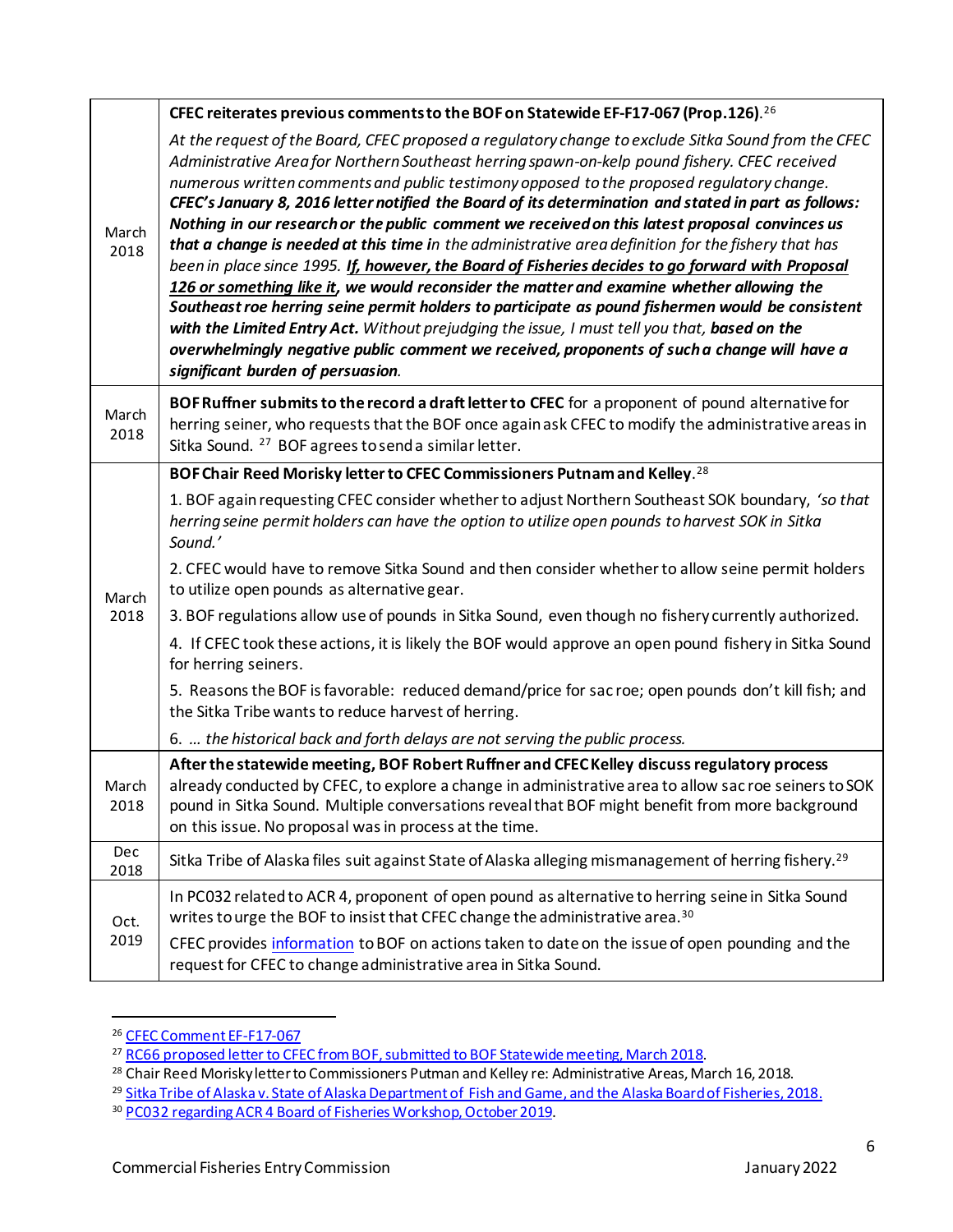|               | CFEC reiterates previous comments to the BOF on Statewide EF-F17-067 (Prop.126). <sup>26</sup>                                                                                                                                                                                                                                                                                                                                                                                                                                                                                                                                                                                                                                                                                                                                                                                                                                                                                                                                                                                                                                                               |
|---------------|--------------------------------------------------------------------------------------------------------------------------------------------------------------------------------------------------------------------------------------------------------------------------------------------------------------------------------------------------------------------------------------------------------------------------------------------------------------------------------------------------------------------------------------------------------------------------------------------------------------------------------------------------------------------------------------------------------------------------------------------------------------------------------------------------------------------------------------------------------------------------------------------------------------------------------------------------------------------------------------------------------------------------------------------------------------------------------------------------------------------------------------------------------------|
| March<br>2018 | At the request of the Board, CFEC proposed a regulatory change to exclude Sitka Sound from the CFEC<br>Administrative Area for Northern Southeast herring spawn-on-kelp pound fishery. CFEC received<br>numerous written comments and public testimony opposed to the proposed regulatory change.<br>CFEC's January 8, 2016 letter notified the Board of its determination and stated in part as follows:<br>Nothing in our research or the public comment we received on this latest proposal convinces us<br>that a change is needed at this time in the administrative area definition for the fishery that has<br>been in place since 1995. If, however, the Board of Fisheries decides to go forward with Proposal<br>126 or something like it, we would reconsider the matter and examine whether allowing the<br>Southeast roe herring seine permit holders to participate as pound fishermen would be consistent<br>with the Limited Entry Act. Without prejudging the issue, I must tell you that, based on the<br>overwhelmingly negative public comment we received, proponents of such a change will have a<br>significant burden of persuasion. |
| March<br>2018 | BOF Ruffner submits to the record a draft letter to CFEC for a proponent of pound alternative for<br>herring seiner, who requests that the BOF once again ask CFEC to modify the administrative areas in<br>Sitka Sound. <sup>27</sup> BOF agrees to send a similar letter.                                                                                                                                                                                                                                                                                                                                                                                                                                                                                                                                                                                                                                                                                                                                                                                                                                                                                  |
|               | BOF Chair Reed Morisky letter to CFEC Commissioners Putnam and Kelley. <sup>28</sup>                                                                                                                                                                                                                                                                                                                                                                                                                                                                                                                                                                                                                                                                                                                                                                                                                                                                                                                                                                                                                                                                         |
| March         | 1. BOF again requesting CFEC consider whether to adjust Northern Southeast SOK boundary, 'so that<br>herring seine permit holders can have the option to utilize open pounds to harvest SOK in Sitka<br>Sound.'                                                                                                                                                                                                                                                                                                                                                                                                                                                                                                                                                                                                                                                                                                                                                                                                                                                                                                                                              |
|               | 2. CFEC would have to remove Sitka Sound and then consider whether to allow seine permit holders<br>to utilize open pounds as alternative gear.                                                                                                                                                                                                                                                                                                                                                                                                                                                                                                                                                                                                                                                                                                                                                                                                                                                                                                                                                                                                              |
| 2018          | 3. BOF regulations allow use of pounds in Sitka Sound, even though no fishery currently authorized.                                                                                                                                                                                                                                                                                                                                                                                                                                                                                                                                                                                                                                                                                                                                                                                                                                                                                                                                                                                                                                                          |
|               | 4. If CFEC took these actions, it is likely the BOF would approve an open pound fishery in Sitka Sound<br>for herring seiners.                                                                                                                                                                                                                                                                                                                                                                                                                                                                                                                                                                                                                                                                                                                                                                                                                                                                                                                                                                                                                               |
|               | 5. Reasons the BOF is favorable: reduced demand/price for sac roe; open pounds don't kill fish; and<br>the Sitka Tribe wants to reduce harvest of herring.                                                                                                                                                                                                                                                                                                                                                                                                                                                                                                                                                                                                                                                                                                                                                                                                                                                                                                                                                                                                   |
|               | 6.  the historical back and forth delays are not serving the public process.                                                                                                                                                                                                                                                                                                                                                                                                                                                                                                                                                                                                                                                                                                                                                                                                                                                                                                                                                                                                                                                                                 |
| March<br>2018 | After the statewide meeting, BOF Robert Ruffner and CFEC Kelley discuss regulatory process<br>already conducted by CFEC, to explore a change in administrative area to allow sac roe seiners to SOK<br>pound in Sitka Sound. Multiple conversations reveal that BOF might benefit from more background<br>on this issue. No proposal was in process at the time.                                                                                                                                                                                                                                                                                                                                                                                                                                                                                                                                                                                                                                                                                                                                                                                             |
| Dec<br>2018   | Sitka Tribe of Alaska files suit against State of Alaska alleging mismanagement of herring fishery. <sup>29</sup>                                                                                                                                                                                                                                                                                                                                                                                                                                                                                                                                                                                                                                                                                                                                                                                                                                                                                                                                                                                                                                            |
| Oct.<br>2019  | In PC032 related to ACR 4, proponent of open pound as alternative to herring seine in Sitka Sound<br>writes to urge the BOF to insist that CFEC change the administrative area. <sup>30</sup><br>CFEC provides information to BOF on actions taken to date on the issue of open pounding and the                                                                                                                                                                                                                                                                                                                                                                                                                                                                                                                                                                                                                                                                                                                                                                                                                                                             |
|               | request for CFEC to change administrative area in Sitka Sound.                                                                                                                                                                                                                                                                                                                                                                                                                                                                                                                                                                                                                                                                                                                                                                                                                                                                                                                                                                                                                                                                                               |

<sup>26</sup> CFEC Comment [EF-F17-067](https://www.adfg.alaska.gov/static-f/regulations/regprocess/fisheriesboard/pdfs/2017-2018/state/rcs/rc013_CFEC_Comment_EF-F17-067.pdf)

<sup>&</sup>lt;sup>27</sup> RC66 proposed letter to CFEC from BOF, submitted to BOF Statewide meeting, March 2018.

<sup>28</sup> Chair Reed Morisky letter to Commissioners Putman and Kelley re: Administrative Areas, March 16, 2018.

<sup>&</sup>lt;sup>29</sup> <u>Sitka Tribe of Alaska v. State of Alaska Department of Fish and Game, and the Alaska Board of Fisheries, 2018.</u>

<sup>&</sup>lt;sup>30</sup> PC032 regarding ACR 4 Board of Fisheries Workshop, October 2019.